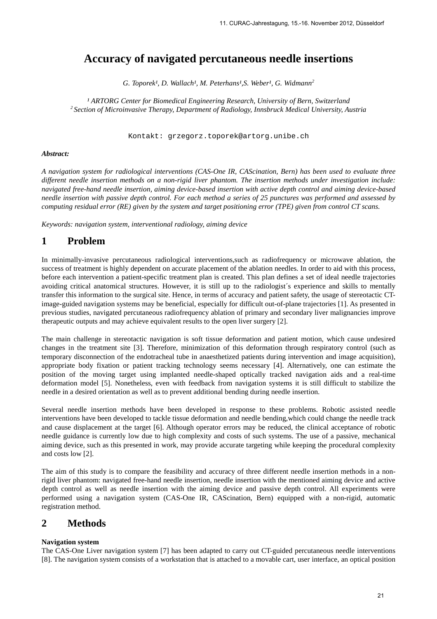# **Accuracy of navigated percutaneous needle insertions**

*G. Toporek<sup>1</sup>, D. Wallach<sup>1</sup>, M. Peterhans<sup>1</sup>, S. Weber<sup>1</sup>, <i>G. Widmann*<sup>2</sup>

<sup>1</sup> ARTORG Center for Biomedical Engineering Research, University of Bern, Switzerland *<sup>2</sup>Section of Microinvasive Therapy, Department of Radiology, Innsbruck Medical University, Austria* 

Kontakt: grzegorz.toporek@artorg.unibe.ch

#### *Abstract:*

*A navigation system for radiological interventions (CAS-One IR, CAScination, Bern) has been used to evaluate three different needle insertion methods on a non-rigid liver phantom. The insertion methods under investigation include: navigated free-hand needle insertion, aiming device-based insertion with active depth control and aiming device-based needle insertion with passive depth control. For each method a series of 25 punctures was performed and assessed by computing residual error (RE) given by the system and target positioning error (TPE) given from control CT scans.* 

*Keywords: navigation system, interventional radiology, aiming device* 

## **1 Problem**

In minimally-invasive percutaneous radiological interventions,such as radiofrequency or microwave ablation, the success of treatment is highly dependent on accurate placement of the ablation needles. In order to aid with this process, before each intervention a patient-specific treatment plan is created. This plan defines a set of ideal needle trajectories avoiding critical anatomical structures. However, it is still up to the radiologist´s experience and skills to mentally transfer this information to the surgical site. Hence, in terms of accuracy and patient safety, the usage of stereotactic CTimage-guided navigation systems may be beneficial, especially for difficult out-of-plane trajectories [1]. As presented in previous studies, navigated percutaneous radiofrequency ablation of primary and secondary liver malignancies improve therapeutic outputs and may achieve equivalent results to the open liver surgery [2].

The main challenge in stereotactic navigation is soft tissue deformation and patient motion, which cause undesired changes in the treatment site [3]. Therefore, minimization of this deformation through respiratory control (such as temporary disconnection of the endotracheal tube in anaesthetized patients during intervention and image acquisition), appropriate body fixation or patient tracking technology seems necessary [4]. Alternatively, one can estimate the position of the moving target using implanted needle-shaped optically tracked navigation aids and a real-time deformation model [5]. Nonetheless, even with feedback from navigation systems it is still difficult to stabilize the needle in a desired orientation as well as to prevent additional bending during needle insertion.

Several needle insertion methods have been developed in response to these problems. Robotic assisted needle interventions have been developed to tackle tissue deformation and needle bending,which could change the needle track and cause displacement at the target [6]. Although operator errors may be reduced, the clinical acceptance of robotic needle guidance is currently low due to high complexity and costs of such systems. The use of a passive, mechanical aiming device, such as this presented in work, may provide accurate targeting while keeping the procedural complexity and costs low [2].

The aim of this study is to compare the feasibility and accuracy of three different needle insertion methods in a nonrigid liver phantom: navigated free-hand needle insertion, needle insertion with the mentioned aiming device and active depth control as well as needle insertion with the aiming device and passive depth control. All experiments were performed using a navigation system (CAS-One IR, CAScination, Bern) equipped with a non-rigid, automatic registration method.

### **2 Methods**

### **Navigation system**

The CAS-One Liver navigation system [7] has been adapted to carry out CT-guided percutaneous needle interventions [8]. The navigation system consists of a workstation that is attached to a movable cart, user interface, an optical position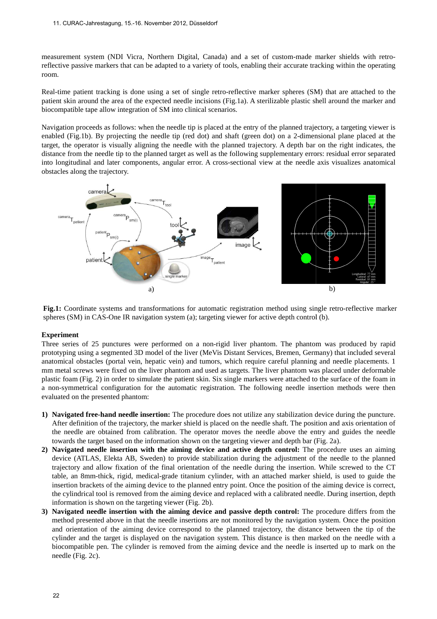measurement system (NDI Vicra, Northern Digital, Canada) and a set of custom-made marker shields reflective passive markers that can be adapted to a variety of tools, enabling their accurate tracking within the operating room.

Real-time patient tracking is done using a set of single retro-reflective marker spheres (SM) that are attached to the patient skin around the area of the expected needle incisions ( (Fig.1a). A sterilizable plastic shell around the marker and biocompatible tape allow integration of SM into clinical scenarios.

Navigation proceeds as follows: when the needle tip is placed at the entry of the planned trajectory, a targeting viewer is Navigation proceeds as follows: when the needle tip is placed at the entry of the planned trajectory, a targeting viewer is enabled (Fig.1b). By projecting the needle tip (red dot) and shaft (green dot) on a 2-dimensional target, the operator is visually aligning the needle with the planned trajectory. A depth bar on the right indicates, the distance from the needle tip to the planned target as well as the following supplementary errors: residual error separated into longitudinal and later components, angular error. A cross-sectional view at the needle axis vi obstacles along the trajectory. ig.1a). A sterilizable plastic shell around the marker and<br>os.<br>the entry of the planned trajectory, a targeting viewer is<br>aft (green dot) on a 2-dimensional plane placed at the<br>nned trajectory. A depth bar on the right ind



Fig.1: Coordinate systems and transformations for automatic registration method using single retro-reflective marker spheres (SM) in CAS-One IR navigation system (a); targeting viewer for active depth control (b).

#### **Experiment**

Three series of 25 punctures were performed on a non-rigid liver phantom. The phantom was produced by rapid prototyping using a segmented 3D model of the liver (MeVis Distant Services, Bremen, Germany) that included several prototyping using a segmented 3D model of the liver (MeVis Distant Services, Bremen, Germany) that included several<br>anatomical obstacles (portal vein, hepatic vein) and tumors, which require careful planning and needle pla mm metal screws were fixed on the liver phantom and used as targets. The liver phantom was placed under deformable plastic foam (Fig. 2) in order to simulate the patient skin. Six single markers were attached to the surface of the foam in a non-symmetrical configuration for the automatic registration. The following needle insertion methods were then evaluated on the presented phantom:

- **1)** Navigated free-hand needle insertion: The procedure does not utilize any stabilization device during the puncture. After definition of the trajectory, the marker shield is placed on the needle shaft. The position and axis orientation of the needle are obtained from calibration. The operator moves the needle above the entry and guides the needle<br>towards the target based on the information shown on the targeting viewer and depth bar (Fig. 2a). towards the target based on the information shown on the targeting viewer and depth bar (Fig. 2a).
- 2) **Navigated needle insertion with the aiming device and active depth control: The procedure uses an aiming** device (ATLAS, Elekta AB, Sweden) to provide stabilization during the adjustment of the needle to the planned trajectory and allow fixation of the final orientation of the needle during the insertion. While screwed to the CT table, an 8mm-thick, rigid, medical medical-grade titanium cylinder, with an attached marker shield, insertion brackets of the aiming device to the planned entry point. Once the position of the aiming device is correct, the cylindrical tool is removed from the aiming device and replaced with a calibrated needle. During insertion, depth information is shown on the targeting viewer (Fig. 2b). ide stabilization during the adjustment of the needle to the planned<br>ntation of the needle during the insertion. While screwed to the CT<br>nium cylinder, with an attached marker shield, is used to guide the
- 3) Navigated needle insertion with the aiming device and passive depth control: The procedure differs from the method presented above in that the needle insertions are not monitored by the navigation system. Once the position and orientation of the aiming device correspond to the planned trajectory, the distance between the tip of the cylinder and the target is displayed on the navigation system. This distance is then marked on the needle with a biocompatible pen. The cylinder is removed from the aiming device and the needle is inserted up to mark on the needle (Fig. 2c).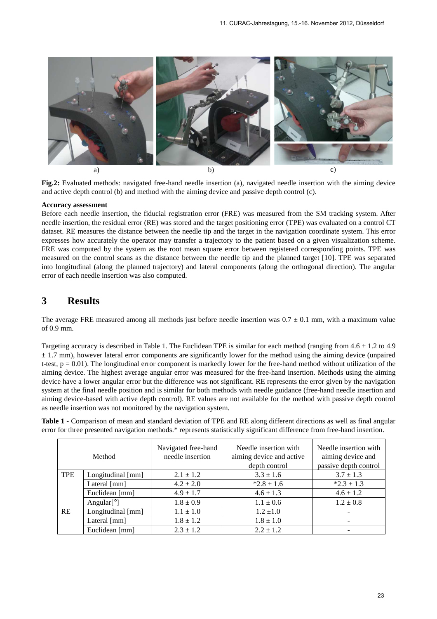

Fig.2: Evaluated methods: navigated free-hand needle insertion (a), navigated needle insertion with the aiming device and active depth control (b) and method with the aiming device and passive depth control (c).

#### **Accuracy assessment**

Before each needle insertion, the fiducial registration error (FRE) was measured from the SM tracking system. After needle insertion, the residual error (RE) was stored and the target positioning error (TPE) was evaluated on a control CT dataset. RE measures the distance between the needle tip and the target in the navigation coordinate system. This error expresses how accurately the operator may transfer a trajectory to the patient based on a given visualization scheme. FRE was computed by the system as the root mean square error between registered corresponding points. measured on the control scans as the distance between the needle tip and the planned target [10]. TPE was separated into longitudinal (along the planned trajectory) and lateral components (along the orthogonal direction). The angular error of each needle insertion was also computed. avigated needle insertion with the aiming device<br>ssive depth control (c).<br>as measured from the SM tracking system. After<br>ioning error (TPE) was evaluated on a control CT<br>et in the navigation coordinate system. This error<br>e

### **3 Results**

The average FRE measured among all methods just before needle insertion was  $0.7 \pm 0.1$  mm, with a maximum value of 0.9 mm.

Targeting accuracy is described in Table 1. The Euclidean TPE is similar for each method (ranging from  $4.6 \pm 1.2$  to  $4.9$ )  $\pm$  1.7 mm), however lateral error components are significantly lower for the method using the aiming device (unpaired  $\pm$  1.7 mm), however lateral error components are significantly lower for the method using the aiming device (unpaired t-test,  $p = 0.01$ ). The longitudinal error component is markedly lower for the free-hand method witho aiming device. The highest average angular error was measured for the free-hand insertion. Methods using the aiming device have a lower angular error but the difference was not significant. RE represents the error g system at the final needle position and is similar for both methods with needle guidance (free-hand needle insertion and aiming device-based with active depth control). RE values are not available for the method with passive depth control as needle insertion was not monitored by the navigation system. ree-hand method without utilization of the<br>hand insertion. Methods using the aiming<br>epresents the error given by the navigation

**Table 1 -** Comparison of mean and standard deviation of TPE and RE along different directions as well as final angular error for three presented navigation methods.\* represents statistically significant difference from free-hand insertion.

|            | Method                        | Navigated free-hand<br>needle insertion | Needle insertion with<br>aiming device and active<br>depth control | Needle insertion with<br>aiming device and<br>passive depth control |
|------------|-------------------------------|-----------------------------------------|--------------------------------------------------------------------|---------------------------------------------------------------------|
| <b>TPE</b> | Longitudinal [mm]             | $2.1 \pm 1.2$                           | $3.3 \pm 1.6$                                                      | $3.7 \pm 1.3$                                                       |
|            | Lateral [mm]                  | $4.2 \pm 2.0$                           | $*2.8 \pm 1.6$                                                     | $*2.3 \pm 1.3$                                                      |
|            | Euclidean [mm]                | $4.9 \pm 1.7$                           | $4.6 \pm 1.3$                                                      | $4.6 \pm 1.2$                                                       |
|            | Angular $\lceil \circ \rceil$ | $1.8 \pm 0.9$                           | $1.1 \pm 0.6$                                                      | $1.2 \pm 0.8$                                                       |
| <b>RE</b>  | Longitudinal [mm]             | $1.1 \pm 1.0$                           | $1.2 \pm 1.0$                                                      | $\overline{\phantom{0}}$                                            |
|            | Lateral [mm]                  | $1.8 \pm 1.2$                           | $1.8 \pm 1.0$                                                      | -                                                                   |
|            | Euclidean [mm]                | $2.3 \pm 1.2$                           | $2.2 \pm 1.2$                                                      |                                                                     |